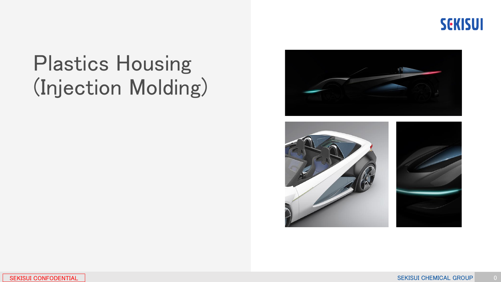

## Plastics Housing (Injection Molding)



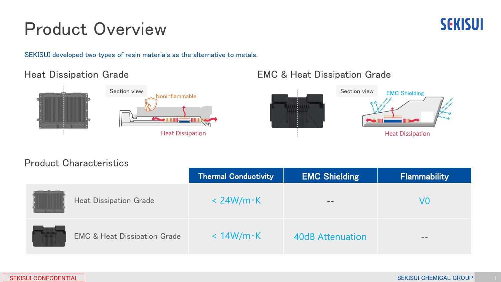## Product Overview

SEKISUI developed two types of resin materials as the alternative to metals.

#### Heat Dissipation Grade



#### EMC & Heat Dissipation Grade



#### Product Characteristics

|                                         | <b>Thermal Conductivity</b> | <b>EMC Shielding</b>    | Flammability |
|-----------------------------------------|-----------------------------|-------------------------|--------------|
| <b>Heat Dissipation Grade</b>           | $<$ 24W/m $\cdot$ K         |                         | V0           |
| <b>EMC &amp; Heat Dissipation Grade</b> | $< 14W/m \cdot K$           | <b>40dB Attenuation</b> | $- -$        |



**SEKISUI**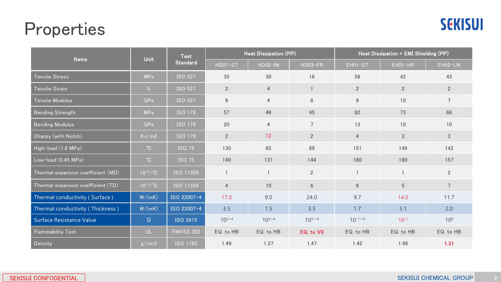### Properties



| Items                              | <b>Unit</b>         | <b>Test</b><br><b>Standard</b> | Heat Dissipation (PP) |                |                 | Heat Dissipation + EMI Shielding (PP) |                |                 |
|------------------------------------|---------------------|--------------------------------|-----------------------|----------------|-----------------|---------------------------------------|----------------|-----------------|
|                                    |                     |                                | HD01-ST               | $HDO2-IM$      | HD03-FR         | EH01-ST                               | $EHO1-HP$      | EH02-LW         |
| <b>Tensile Stress</b>              | <b>MPa</b>          | <b>ISO 527</b>                 | 35                    | 30             | 16              | 58                                    | 42             | 43              |
| Tensile Strain                     | %                   | <b>ISO 527</b>                 | $\overline{2}$        | $\overline{4}$ | $\mathbf{1}$    | $\overline{2}$                        | $\overline{2}$ | $2^{\circ}$     |
| Tensile Modulus                    | GPa                 | <b>ISO 527</b>                 | $9\,$                 | $\overline{4}$ | $6\,$           | $\boldsymbol{9}$                      | 10             | $\overline{7}$  |
| <b>Bending Strength</b>            | <b>MPa</b>          | <b>ISO 178</b>                 | 57                    | 46             | 45              | 82                                    | 73             | 66              |
| <b>Bending Modulus</b>             | GPa                 | <b>ISO 178</b>                 | 20                    | $\overline{4}$ | $\overline{7}$  | 13                                    | 10             | 10              |
| Charpy (with Notch)                | KJ/m2               | <b>ISO 179</b>                 | $\overline{2}$        | 12             | $\overline{2}$  | $\overline{4}$                        | $\mathfrak{S}$ | 3 <sup>1</sup>  |
| High-load (1.8 MPa)                | $^{\circ}$ C        | <b>ISO 75</b>                  | 130                   | 65             | 89              | 151                                   | 149            | 142             |
| Low-load (0.45 MPa)                | $^{\circ}$ C        | <b>ISO 75</b>                  | 140                   | 131            | 144             | 160                                   | 160            | 157             |
| Thermal expansion coefficient (MD) | $10^{-5}$ /°C       | ISO 11359                      |                       | $\mathbf{1}$   | $\overline{2}$  |                                       |                | $2^{\circ}$     |
| Thermal expansion coefficient (TD) | $10^{-5}/^{\circ}C$ | ISO 11359                      | $\overline{4}$        | 10             | $6\,$           | $6\,$                                 | $\overline{5}$ |                 |
| Thermal conductivity (Surface)     | W/(mK)              | ISO 22007-4                    | 17.0                  | 9.0            | 24.0            | 9.7                                   | 14.0           | 11.7            |
| Thermal conductivity (Thickness)   | W/(mK)              | ISO 22007-4                    | 3.5                   | 1.5            | 3.5             | 1.7                                   | 3.1            | 2.0             |
| Surface Resistance Value           | $\Omega$            | <b>ISO 3915</b>                | $10^{3-4}$            | $10^{3-4}$     | $10^{3 \sim 4}$ | $10^{-1}$ <sup>-0</sup>               | $10^{-1}$      | 10 <sup>0</sup> |
| <b>Flammability Test</b>           | UL.                 | <b>FMVSS 302</b>               | EQ. to HB             | EQ. to HB      | EQ. to VO       | EQ. to HB                             | EQ. to HB      | EQ. to HB       |
| Density                            | g/cm3               | <b>ISO 1183</b>                | 1.49                  | 1.37           | 1.47            | 1.42                                  | 1.46           | 1.31            |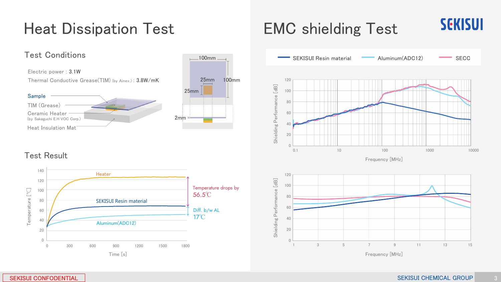### Heat Dissipation Test

#### Test Conditions

Electric power : 3.1W Thermal Conductive Grease(TIM) (by Ainex.) : 3.8W/mK

Sample TIM (Grease) Ceramic Heater (by Sakaguchi E.H VOC Corp.) Heat Insulation Mat



Test Result



### EMC shielding Test



**SEKISUI**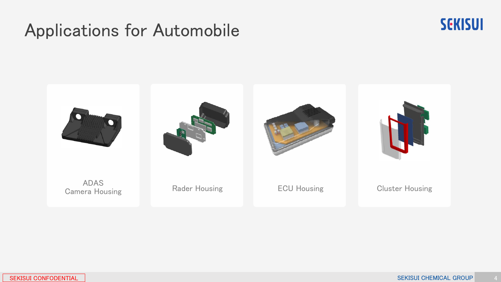## Applications for Automobile